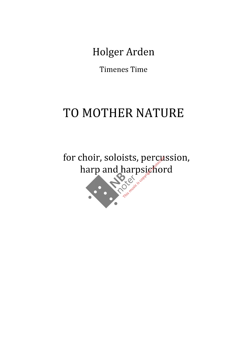Holger Arden

**Timenes Time** 

## TO MOTHER NATURE

for choir, soloists, percussion, harp and harpsichord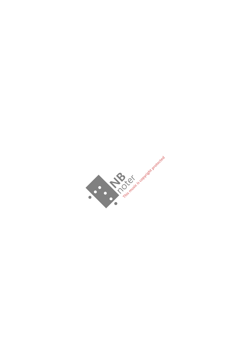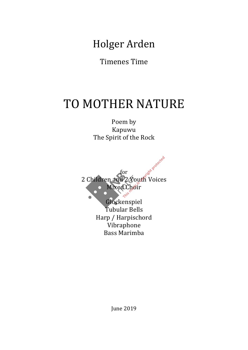Holger Arden

Timenes Time

# TO MOTHER NATURE

Poem by Kapuwu The Spirit of the Rock

for 2 Children and 2 Youth Voices Mixed Choir

> Glockenspiel Tubular Bells Harp / Harpischord Vibraphone Bass Marimba

> > June 2019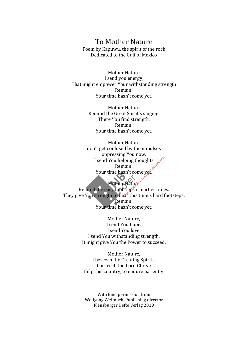### To Mother Nature

Poem by Kapuwu, the spirit of the rock Dedicated to the Gulf of Mexico

Mother Nature I send you energy, That might empower Your withstanding strength Remain! Your time hasn't come yet.

> **Mother Nature** Remind the Great Spirit's singing. There You find strength. Remain! Your time hasn't come yet.

**Mother Nature** don't get confused by the impulses oppressing You now. I send You helping thoughts Remain! Your time hasn't come yet.

Mother Nature Remind the easy footsteps of earlier times. They give You strength to bear this time's hard footsteps. Remain! Your time hasn't come yet.

> Mother Nature, I send You hope. I send You love. I send You withstanding strength. It might give You the Power to succeed.

Mother Nature, I beseech the Creating Spirits, I beseech the Lord Christ: Help this country, to endure patiently.

With kind permission from Wolfgang Weirauch, Publishing director Flensburger Hefte Verlag 2019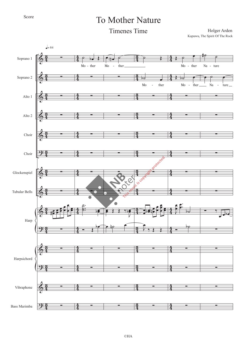### To Mother Nature

Timenes Time

Holger Arden Kapuwu, The Spirit Of The Rock

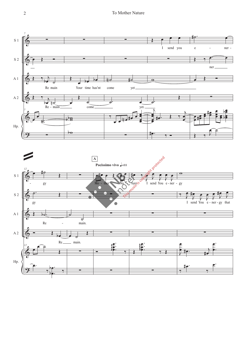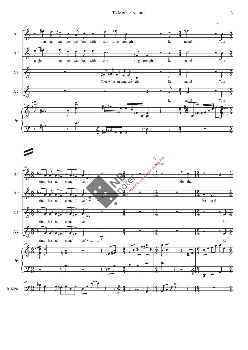

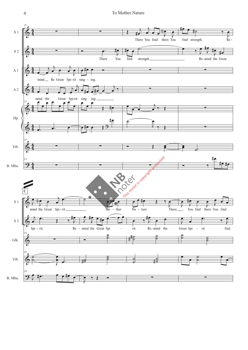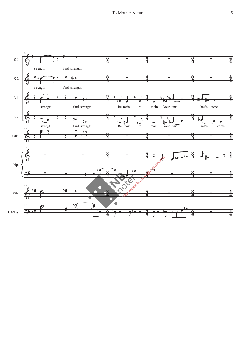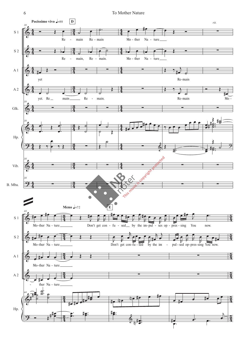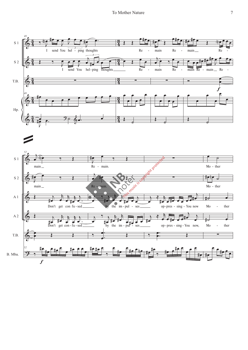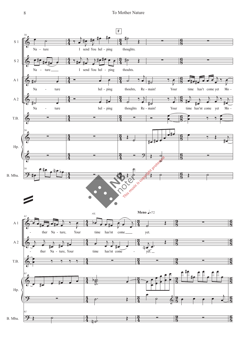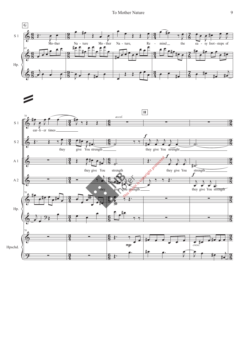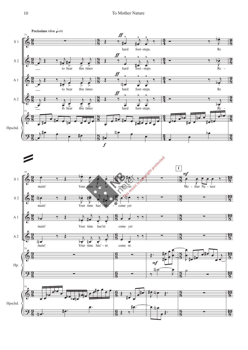

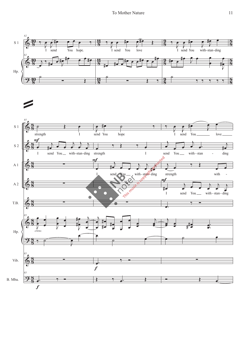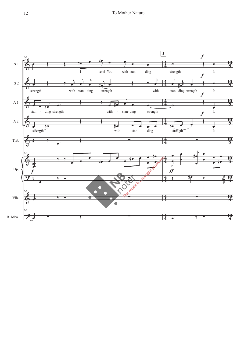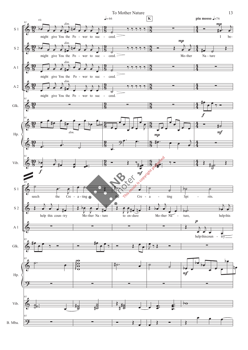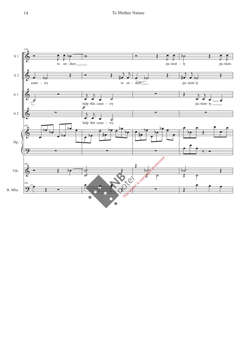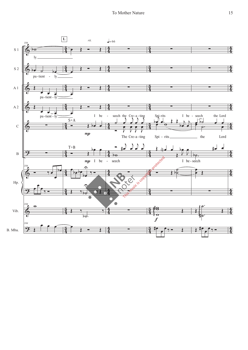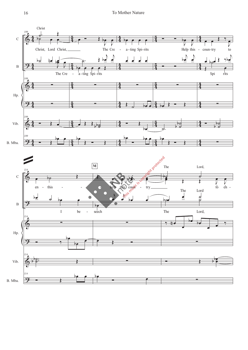